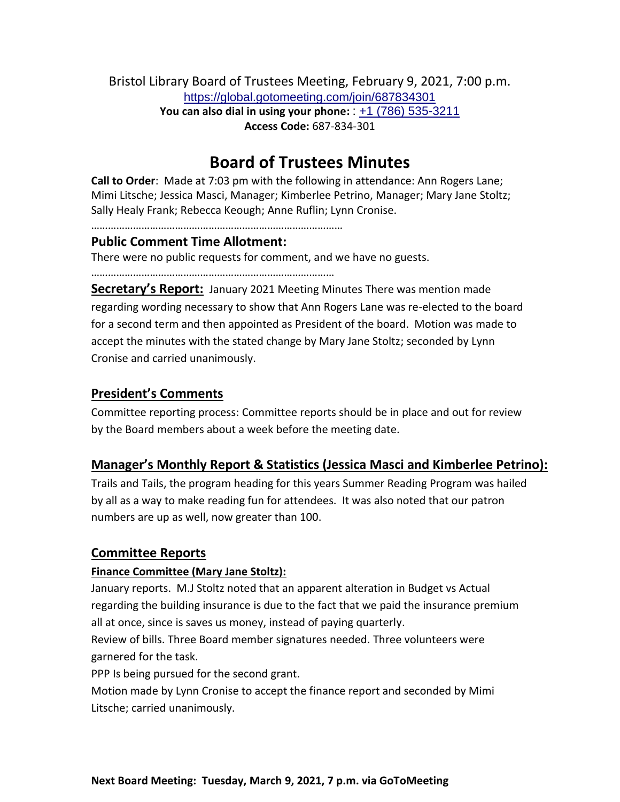Bristol Library Board of Trustees Meeting, February 9, 2021, 7:00 p.m. <https://global.gotomeeting.com/join/687834301> **You can also dial in using your phone:** : [+1 \(786\) 535-3211](tel:+17865353211,,687834301) **Access Code:** 687-834-301

# **Board of Trustees Minutes**

**Call to Order**: Made at 7:03 pm with the following in attendance: Ann Rogers Lane; Mimi Litsche; Jessica Masci, Manager; Kimberlee Petrino, Manager; Mary Jane Stoltz; Sally Healy Frank; Rebecca Keough; Anne Ruflin; Lynn Cronise.

………………………………………………………………………………

## **Public Comment Time Allotment:**

There were no public requests for comment, and we have no guests.

……………………………………………………………………………

**Secretary's Report:** January 2021 Meeting Minutes There was mention made regarding wording necessary to show that Ann Rogers Lane was re-elected to the board for a second term and then appointed as President of the board. Motion was made to accept the minutes with the stated change by Mary Jane Stoltz; seconded by Lynn Cronise and carried unanimously.

## **President's Comments**

Committee reporting process: Committee reports should be in place and out for review by the Board members about a week before the meeting date.

## **Manager's Monthly Report & Statistics (Jessica Masci and Kimberlee Petrino):**

Trails and Tails, the program heading for this years Summer Reading Program was hailed by all as a way to make reading fun for attendees. It was also noted that our patron numbers are up as well, now greater than 100.

## **Committee Reports**

## **Finance Committee (Mary Jane Stoltz):**

January reports. M.J Stoltz noted that an apparent alteration in Budget vs Actual regarding the building insurance is due to the fact that we paid the insurance premium all at once, since is saves us money, instead of paying quarterly.

Review of bills. Three Board member signatures needed. Three volunteers were garnered for the task.

PPP Is being pursued for the second grant.

Motion made by Lynn Cronise to accept the finance report and seconded by Mimi Litsche; carried unanimously.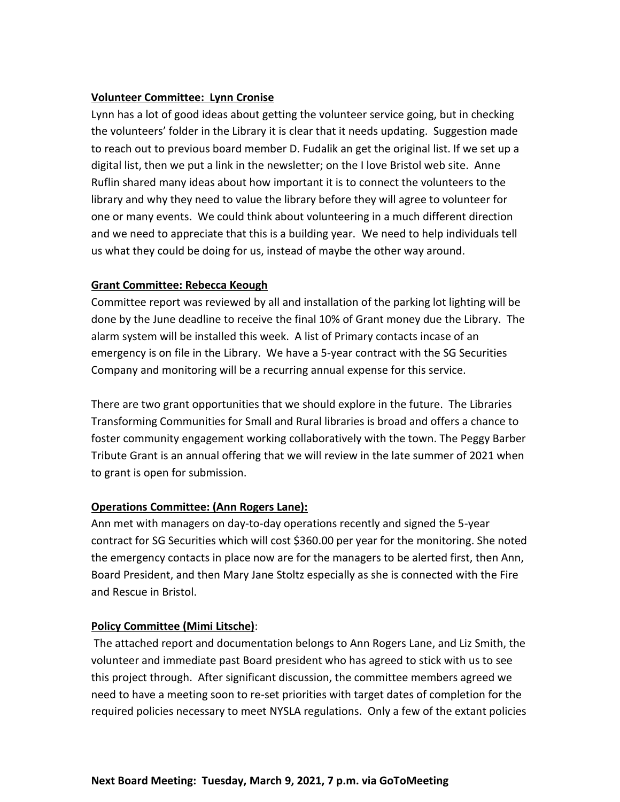## **Volunteer Committee: Lynn Cronise**

Lynn has a lot of good ideas about getting the volunteer service going, but in checking the volunteers' folder in the Library it is clear that it needs updating. Suggestion made to reach out to previous board member D. Fudalik an get the original list. If we set up a digital list, then we put a link in the newsletter; on the I love Bristol web site. Anne Ruflin shared many ideas about how important it is to connect the volunteers to the library and why they need to value the library before they will agree to volunteer for one or many events. We could think about volunteering in a much different direction and we need to appreciate that this is a building year. We need to help individuals tell us what they could be doing for us, instead of maybe the other way around.

#### **Grant Committee: Rebecca Keough**

Committee report was reviewed by all and installation of the parking lot lighting will be done by the June deadline to receive the final 10% of Grant money due the Library. The alarm system will be installed this week. A list of Primary contacts incase of an emergency is on file in the Library. We have a 5-year contract with the SG Securities Company and monitoring will be a recurring annual expense for this service.

There are two grant opportunities that we should explore in the future. The Libraries Transforming Communities for Small and Rural libraries is broad and offers a chance to foster community engagement working collaboratively with the town. The Peggy Barber Tribute Grant is an annual offering that we will review in the late summer of 2021 when to grant is open for submission.

## **Operations Committee: (Ann Rogers Lane):**

Ann met with managers on day-to-day operations recently and signed the 5-year contract for SG Securities which will cost \$360.00 per year for the monitoring. She noted the emergency contacts in place now are for the managers to be alerted first, then Ann, Board President, and then Mary Jane Stoltz especially as she is connected with the Fire and Rescue in Bristol.

#### **Policy Committee (Mimi Litsche)**:

The attached report and documentation belongs to Ann Rogers Lane, and Liz Smith, the volunteer and immediate past Board president who has agreed to stick with us to see this project through. After significant discussion, the committee members agreed we need to have a meeting soon to re-set priorities with target dates of completion for the required policies necessary to meet NYSLA regulations. Only a few of the extant policies